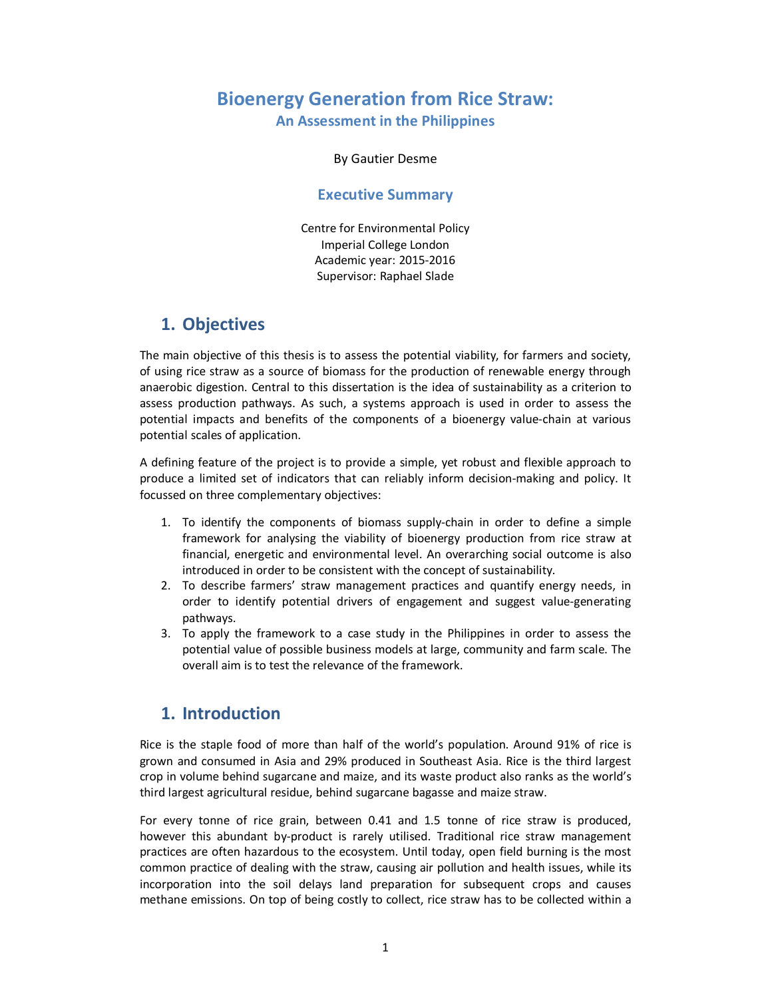# **Bioenergy Generation from Rice Straw: An Assessment in the Philippines**

By Gautier Desme

## **Executive Summary**

Centre for Environmental Policy Imperial College London Academic year: 2015-2016 Supervisor: Raphael Slade

## **1. Objectives**

The main objective of this thesis is to assess the potential viability, for farmers and society, of using rice straw as a source of biomass for the production of renewable energy through anaerobic digestion. Central to this dissertation is the idea of sustainability as a criterion to assess production pathways. As such, a systems approach is used in order to assess the potential impacts and benefits of the components of a bioenergy value-chain at various potential scales of application.

A defining feature of the project is to provide a simple, yet robust and flexible approach to produce a limited set of indicators that can reliably inform decision-making and policy. It focussed on three complementary objectives:

- 1. To identify the components of biomass supply-chain in order to define a simple framework for analysing the viability of bioenergy production from rice straw at financial, energetic and environmental level. An overarching social outcome is also introduced in order to be consistent with the concept of sustainability.
- 2. To describe farmers' straw management practices and quantify energy needs, in order to identify potential drivers of engagement and suggest value-generating pathways.
- 3. To apply the framework to a case study in the Philippines in order to assess the potential value of possible business models at large, community and farm scale. The overall aim is to test the relevance of the framework.

## **1. Introduction**

Rice is the staple food of more than half of the world's population. Around 91% of rice is grown and consumed in Asia and 29% produced in Southeast Asia. Rice is the third largest crop in volume behind sugarcane and maize, and its waste product also ranks as the world's third largest agricultural residue, behind sugarcane bagasse and maize straw.

For every tonne of rice grain, between 0.41 and 1.5 tonne of rice straw is produced, however this abundant by-product is rarely utilised. Traditional rice straw management practices are often hazardous to the ecosystem. Until today, open field burning is the most common practice of dealing with the straw, causing air pollution and health issues, while its incorporation into the soil delays land preparation for subsequent crops and causes methane emissions. On top of being costly to collect, rice straw has to be collected within a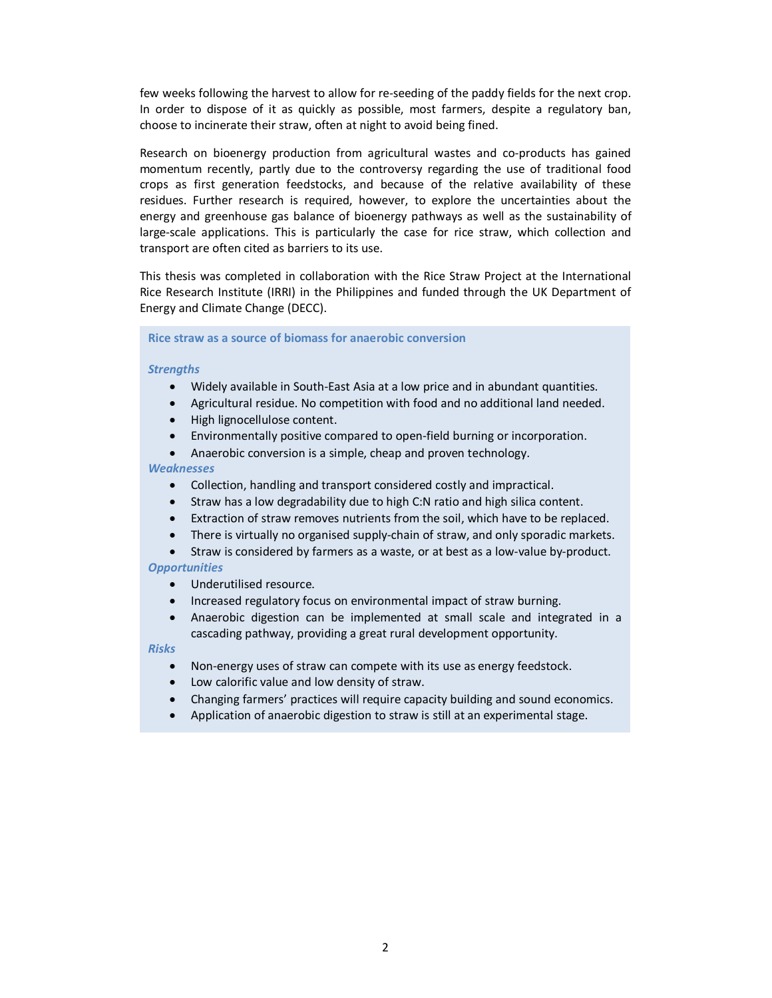few weeks following the harvest to allow for re-seeding of the paddy fields for the next crop. In order to dispose of it as quickly as possible, most farmers, despite a regulatory ban, choose to incinerate their straw, often at night to avoid being fined.

Research on bioenergy production from agricultural wastes and co-products has gained momentum recently, partly due to the controversy regarding the use of traditional food crops as first generation feedstocks, and because of the relative availability of these residues. Further research is required, however, to explore the uncertainties about the energy and greenhouse gas balance of bioenergy pathways as well as the sustainability of large-scale applications. This is particularly the case for rice straw, which collection and transport are often cited as barriers to its use.

This thesis was completed in collaboration with the Rice Straw Project at the International Rice Research Institute (IRRI) in the Philippines and funded through the UK Department of Energy and Climate Change (DECC).

#### **Rice straw as a source of biomass for anaerobic conversion**

#### *Strengths*

- · Widely available in South-East Asia at a low price and in abundant quantities.
- · Agricultural residue. No competition with food and no additional land needed.
- · High lignocellulose content.
- Environmentally positive compared to open-field burning or incorporation.
- Anaerobic conversion is a simple, cheap and proven technology.

#### *Weaknesses*

- · Collection, handling and transport considered costly and impractical.
- · Straw has a low degradability due to high C:N ratio and high silica content.
- Extraction of straw removes nutrients from the soil, which have to be replaced.
- · There is virtually no organised supply-chain of straw, and only sporadic markets.
- · Straw is considered by farmers as a waste, or at best as a low-value by-product.

#### *Opportunities*

- Underutilised resource.
- · Increased regulatory focus on environmental impact of straw burning.
- · Anaerobic digestion can be implemented at small scale and integrated in a cascading pathway, providing a great rural development opportunity.

#### *Risks*

- · Non-energy uses of straw can compete with its use as energy feedstock.
- Low calorific value and low density of straw.
- · Changing farmers' practices will require capacity building and sound economics.
- · Application of anaerobic digestion to straw is still at an experimental stage.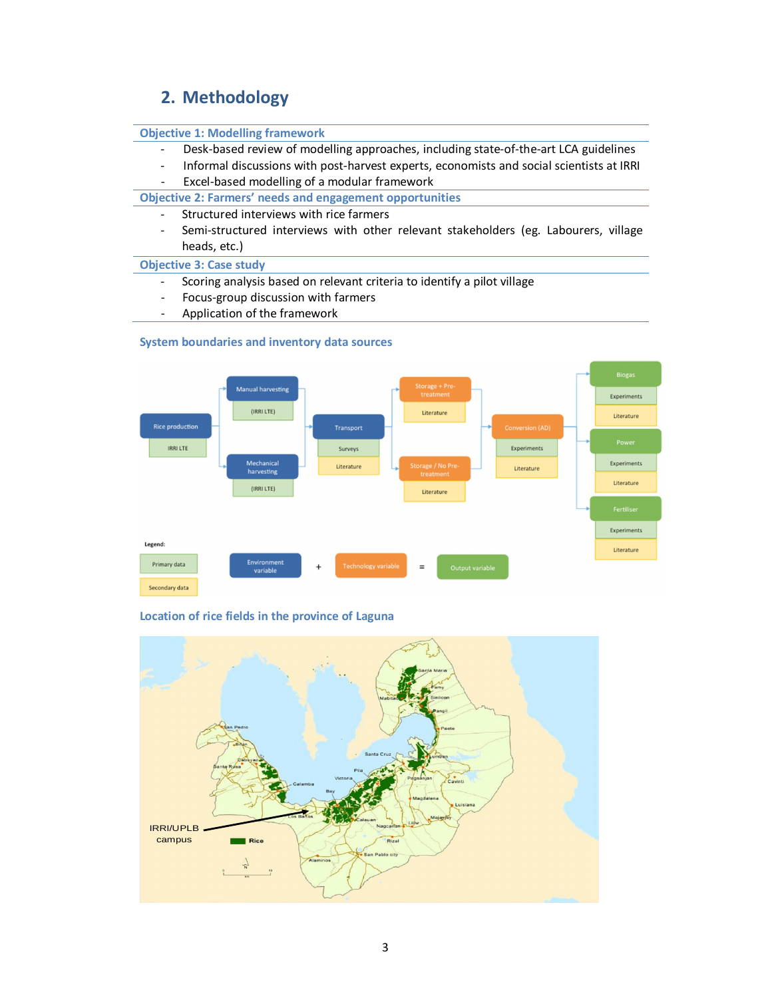# **2. Methodology**

#### **Objective 1: Modelling framework**

- Desk-based review of modelling approaches, including state-of-the-art LCA guidelines
- Informal discussions with post-harvest experts, economists and social scientists at IRRI
- Excel-based modelling of a modular framework

**Objective 2: Farmers' needs and engagement opportunities**

- Structured interviews with rice farmers
- Semi-structured interviews with other relevant stakeholders (eg. Labourers, village heads, etc.)

#### **Objective 3: Case study**

- Scoring analysis based on relevant criteria to identify a pilot village
- Focus-group discussion with farmers
- Application of the framework

#### **System boundaries and inventory data sources**



#### **Location of rice fields in the province of Laguna**

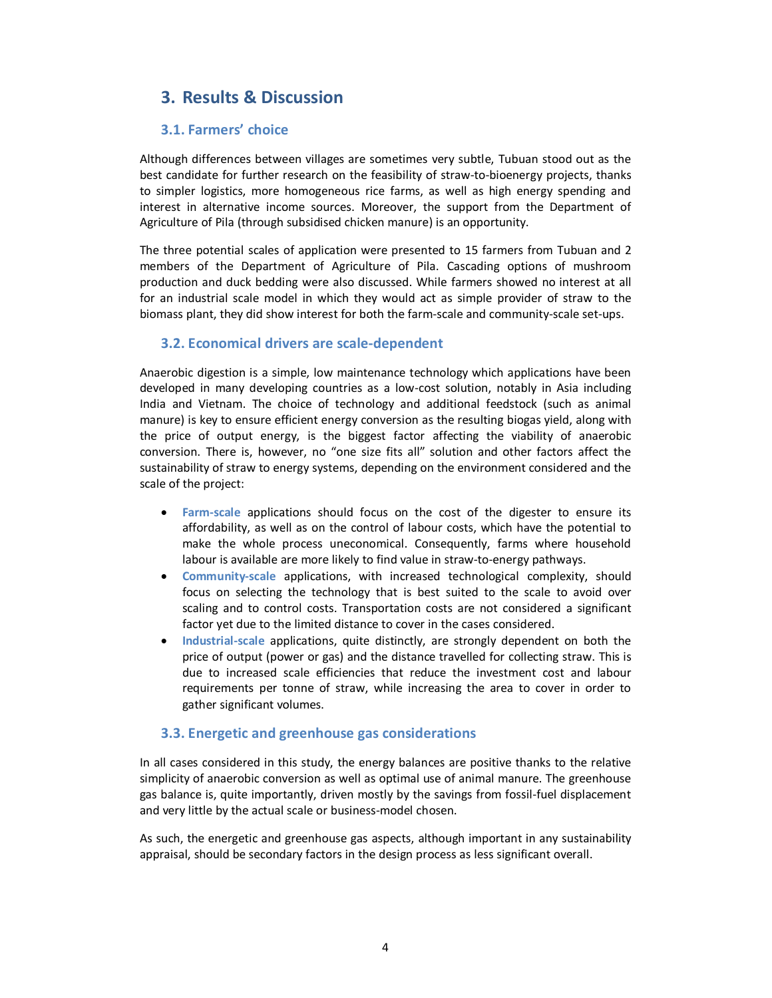# **3. Results & Discussion**

## **3.1. Farmers' choice**

Although differences between villages are sometimes very subtle, Tubuan stood out as the best candidate for further research on the feasibility of straw-to-bioenergy projects, thanks to simpler logistics, more homogeneous rice farms, as well as high energy spending and interest in alternative income sources. Moreover, the support from the Department of Agriculture of Pila (through subsidised chicken manure) is an opportunity.

The three potential scales of application were presented to 15 farmers from Tubuan and 2 members of the Department of Agriculture of Pila. Cascading options of mushroom production and duck bedding were also discussed. While farmers showed no interest at all for an industrial scale model in which they would act as simple provider of straw to the biomass plant, they did show interest for both the farm-scale and community-scale set-ups.

## **3.2. Economical drivers are scale-dependent**

Anaerobic digestion is a simple, low maintenance technology which applications have been developed in many developing countries as a low-cost solution, notably in Asia including India and Vietnam. The choice of technology and additional feedstock (such as animal manure) is key to ensure efficient energy conversion as the resulting biogas yield, along with the price of output energy, is the biggest factor affecting the viability of anaerobic conversion. There is, however, no "one size fits all" solution and other factors affect the sustainability of straw to energy systems, depending on the environment considered and the scale of the project:

- · **Farm-scale** applications should focus on the cost of the digester to ensure its affordability, as well as on the control of labour costs, which have the potential to make the whole process uneconomical. Consequently, farms where household labour is available are more likely to find value in straw-to-energy pathways.
- · **Community-scale** applications, with increased technological complexity, should focus on selecting the technology that is best suited to the scale to avoid over scaling and to control costs. Transportation costs are not considered a significant factor yet due to the limited distance to cover in the cases considered.
- · **Industrial-scale** applications, quite distinctly, are strongly dependent on both the price of output (power or gas) and the distance travelled for collecting straw. This is due to increased scale efficiencies that reduce the investment cost and labour requirements per tonne of straw, while increasing the area to cover in order to gather significant volumes.

### **3.3. Energetic and greenhouse gas considerations**

In all cases considered in this study, the energy balances are positive thanks to the relative simplicity of anaerobic conversion as well as optimal use of animal manure. The greenhouse gas balance is, quite importantly, driven mostly by the savings from fossil-fuel displacement and very little by the actual scale or business-model chosen.

As such, the energetic and greenhouse gas aspects, although important in any sustainability appraisal, should be secondary factors in the design process as less significant overall.